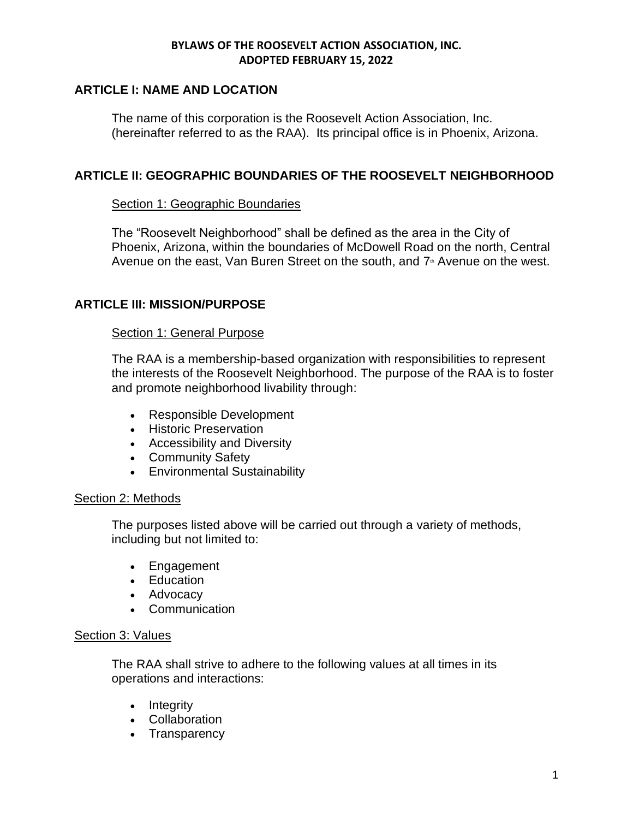# **ARTICLE I: NAME AND LOCATION**

The name of this corporation is the Roosevelt Action Association, Inc. (hereinafter referred to as the RAA). Its principal office is in Phoenix, Arizona.

## **ARTICLE II: GEOGRAPHIC BOUNDARIES OF THE ROOSEVELT NEIGHBORHOOD**

### Section 1: Geographic Boundaries

The "Roosevelt Neighborhood" shall be defined as the area in the City of Phoenix, Arizona, within the boundaries of McDowell Road on the north, Central Avenue on the east, Van Buren Street on the south, and  $7<sup>*</sup>$  Avenue on the west.

## **ARTICLE III: MISSION/PURPOSE**

### Section 1: General Purpose

The RAA is a membership-based organization with responsibilities to represent the interests of the Roosevelt Neighborhood. The purpose of the RAA is to foster and promote neighborhood livability through:

- Responsible Development
- Historic Preservation
- Accessibility and Diversity
- Community Safety
- Environmental Sustainability

### Section 2: Methods

The purposes listed above will be carried out through a variety of methods, including but not limited to:

- Engagement
- Education
- Advocacy
- Communication

### Section 3: Values

The RAA shall strive to adhere to the following values at all times in its operations and interactions:

- Integrity
- Collaboration
- Transparency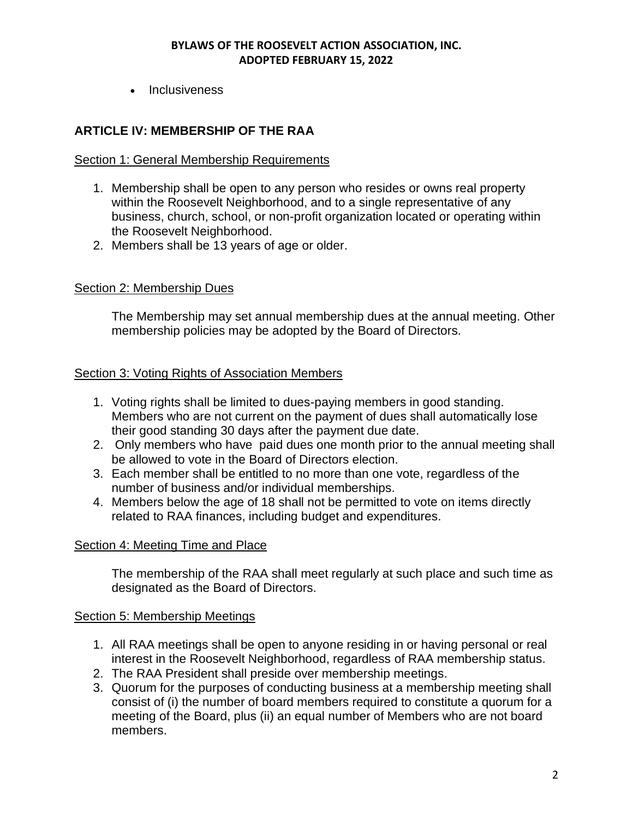• Inclusiveness

# **ARTICLE IV: MEMBERSHIP OF THE RAA**

### Section 1: General Membership Requirements

- 1. Membership shall be open to any person who resides or owns real property within the Roosevelt Neighborhood, and to a single representative of any business, church, school, or non-profit organization located or operating within the Roosevelt Neighborhood.
- 2. Members shall be 13 years of age or older.

### Section 2: Membership Dues

The Membership may set annual membership dues at the annual meeting. Other membership policies may be adopted by the Board of Directors.

### Section 3: Voting Rights of Association Members

- 1. Voting rights shall be limited to dues-paying members in good standing. Members who are not current on the payment of dues shall automatically lose their good standing 30 days after the payment due date.
- 2. Only members who have paid dues one month prior to the annual meeting shall be allowed to vote in the Board of Directors election.
- 3. Each member shall be entitled to no more than one vote, regardless of the number of business and/or individual memberships.
- 4. Members below the age of 18 shall not be permitted to vote on items directly related to RAA finances, including budget and expenditures.

### Section 4: Meeting Time and Place

The membership of the RAA shall meet regularly at such place and such time as designated as the Board of Directors.

### Section 5: Membership Meetings

- 1. All RAA meetings shall be open to anyone residing in or having personal or real interest in the Roosevelt Neighborhood, regardless of RAA membership status.
- 2. The RAA President shall preside over membership meetings.
- 3. Quorum for the purposes of conducting business at a membership meeting shall consist of (i) the number of board members required to constitute a quorum for a meeting of the Board, plus (ii) an equal number of Members who are not board members.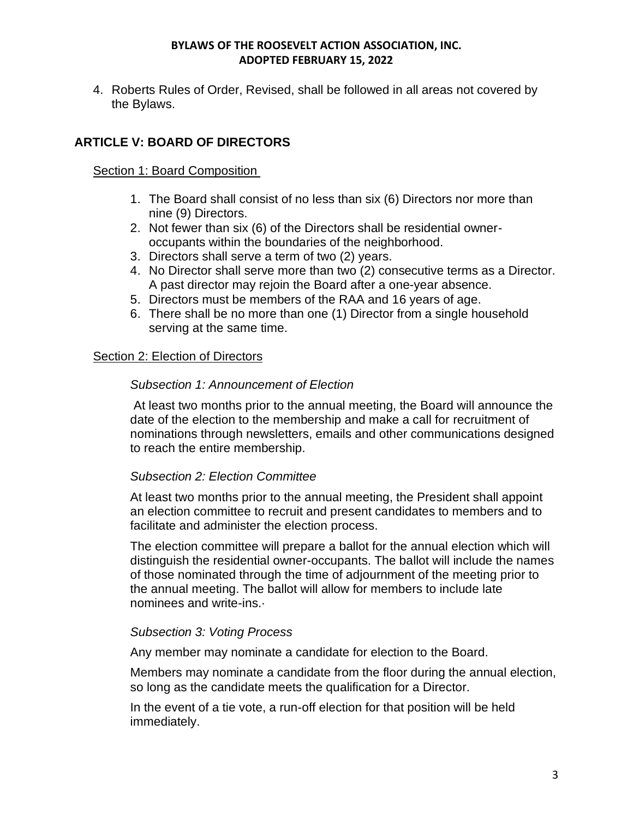4. Roberts Rules of Order, Revised, shall be followed in all areas not covered by the Bylaws.

# **ARTICLE V: BOARD OF DIRECTORS**

## Section 1: Board Composition

- 1. The Board shall consist of no less than six (6) Directors nor more than nine (9) Directors.
- 2. Not fewer than six (6) of the Directors shall be residential owneroccupants within the boundaries of the neighborhood.
- 3. Directors shall serve a term of two (2) years.
- 4. No Director shall serve more than two (2) consecutive terms as a Director. A past director may rejoin the Board after a one-year absence.
- 5. Directors must be members of the RAA and 16 years of age.
- 6. There shall be no more than one (1) Director from a single household serving at the same time.

## Section 2: Election of Directors

## *Subsection 1: Announcement of Election*

At least two months prior to the annual meeting, the Board will announce the date of the election to the membership and make a call for recruitment of nominations through newsletters, emails and other communications designed to reach the entire membership.

### *Subsection 2: Election Committee*

At least two months prior to the annual meeting, the President shall appoint an election committee to recruit and present candidates to members and to facilitate and administer the election process.

The election committee will prepare a ballot for the annual election which will distinguish the residential owner-occupants. The ballot will include the names of those nominated through the time of adjournment of the meeting prior to the annual meeting. The ballot will allow for members to include late nominees and write-ins.·

### *Subsection 3: Voting Process*

Any member may nominate a candidate for election to the Board.

Members may nominate a candidate from the floor during the annual election, so long as the candidate meets the qualification for a Director.

In the event of a tie vote, a run-off election for that position will be held immediately.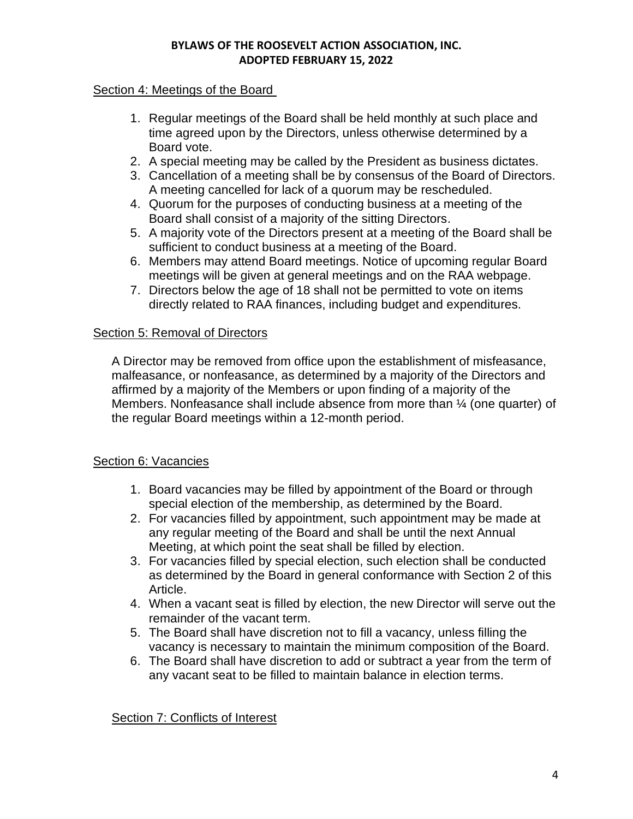## Section 4: Meetings of the Board

- 1. Regular meetings of the Board shall be held monthly at such place and time agreed upon by the Directors, unless otherwise determined by a Board vote.
- 2. A special meeting may be called by the President as business dictates.
- 3. Cancellation of a meeting shall be by consensus of the Board of Directors. A meeting cancelled for lack of a quorum may be rescheduled.
- 4. Quorum for the purposes of conducting business at a meeting of the Board shall consist of a majority of the sitting Directors.
- 5. A majority vote of the Directors present at a meeting of the Board shall be sufficient to conduct business at a meeting of the Board.
- 6. Members may attend Board meetings. Notice of upcoming regular Board meetings will be given at general meetings and on the RAA webpage.
- 7. Directors below the age of 18 shall not be permitted to vote on items directly related to RAA finances, including budget and expenditures.

### Section 5: Removal of Directors

A Director may be removed from office upon the establishment of misfeasance, malfeasance, or nonfeasance, as determined by a majority of the Directors and affirmed by a majority of the Members or upon finding of a majority of the Members. Nonfeasance shall include absence from more than ¼ (one quarter) of the regular Board meetings within a 12-month period.

# Section 6: Vacancies

- 1. Board vacancies may be filled by appointment of the Board or through special election of the membership, as determined by the Board.
- 2. For vacancies filled by appointment, such appointment may be made at any regular meeting of the Board and shall be until the next Annual Meeting, at which point the seat shall be filled by election.
- 3. For vacancies filled by special election, such election shall be conducted as determined by the Board in general conformance with Section 2 of this Article.
- 4. When a vacant seat is filled by election, the new Director will serve out the remainder of the vacant term.
- 5. The Board shall have discretion not to fill a vacancy, unless filling the vacancy is necessary to maintain the minimum composition of the Board.
- 6. The Board shall have discretion to add or subtract a year from the term of any vacant seat to be filled to maintain balance in election terms.

Section 7: Conflicts of Interest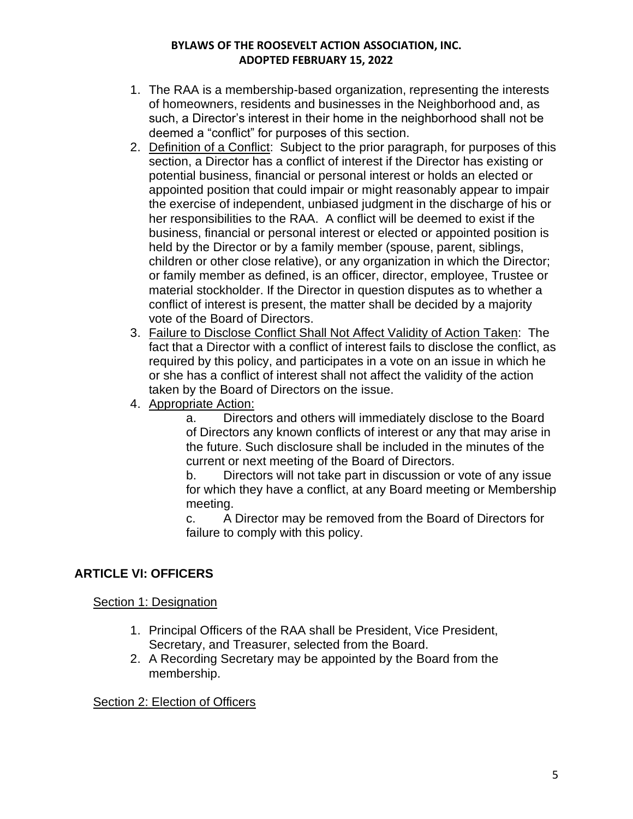- 1. The RAA is a membership-based organization, representing the interests of homeowners, residents and businesses in the Neighborhood and, as such, a Director's interest in their home in the neighborhood shall not be deemed a "conflict" for purposes of this section.
- 2. Definition of a Conflict: Subject to the prior paragraph, for purposes of this section, a Director has a conflict of interest if the Director has existing or potential business, financial or personal interest or holds an elected or appointed position that could impair or might reasonably appear to impair the exercise of independent, unbiased judgment in the discharge of his or her responsibilities to the RAA. A conflict will be deemed to exist if the business, financial or personal interest or elected or appointed position is held by the Director or by a family member (spouse, parent, siblings, children or other close relative), or any organization in which the Director; or family member as defined, is an officer, director, employee, Trustee or material stockholder. If the Director in question disputes as to whether a conflict of interest is present, the matter shall be decided by a majority vote of the Board of Directors.
- 3. Failure to Disclose Conflict Shall Not Affect Validity of Action Taken: The fact that a Director with a conflict of interest fails to disclose the conflict, as required by this policy, and participates in a vote on an issue in which he or she has a conflict of interest shall not affect the validity of the action taken by the Board of Directors on the issue.
- 4. Appropriate Action:

a. Directors and others will immediately disclose to the Board of Directors any known conflicts of interest or any that may arise in the future. Such disclosure shall be included in the minutes of the current or next meeting of the Board of Directors.

b. Directors will not take part in discussion or vote of any issue for which they have a conflict, at any Board meeting or Membership meeting.

c. A Director may be removed from the Board of Directors for failure to comply with this policy.

# **ARTICLE VI: OFFICERS**

### Section 1: Designation

- 1. Principal Officers of the RAA shall be President, Vice President, Secretary, and Treasurer, selected from the Board.
- 2. A Recording Secretary may be appointed by the Board from the membership.

### Section 2: Election of Officers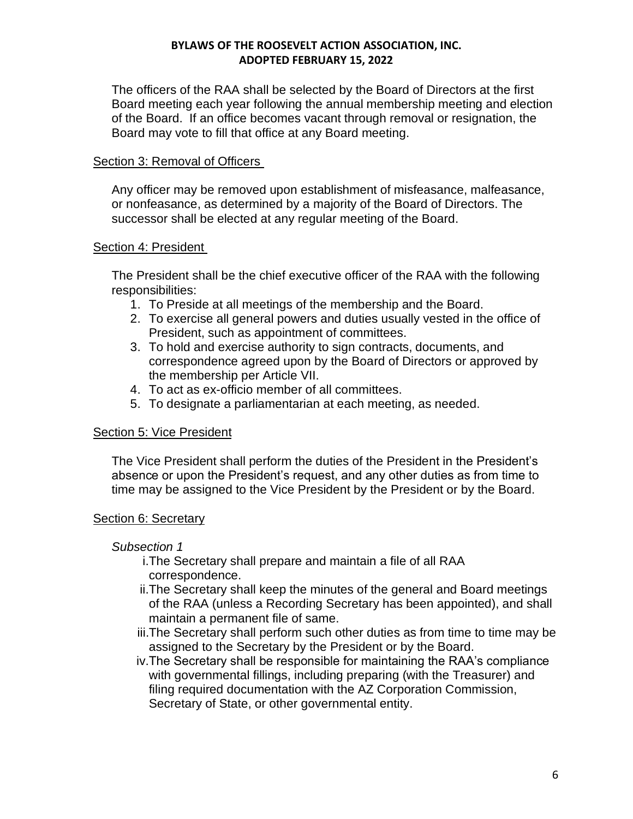The officers of the RAA shall be selected by the Board of Directors at the first Board meeting each year following the annual membership meeting and election of the Board. If an office becomes vacant through removal or resignation, the Board may vote to fill that office at any Board meeting.

## Section 3: Removal of Officers

Any officer may be removed upon establishment of misfeasance, malfeasance, or nonfeasance, as determined by a majority of the Board of Directors. The successor shall be elected at any regular meeting of the Board.

### Section 4: President

The President shall be the chief executive officer of the RAA with the following responsibilities:

- 1. To Preside at all meetings of the membership and the Board.
- 2. To exercise all general powers and duties usually vested in the office of President, such as appointment of committees.
- 3. To hold and exercise authority to sign contracts, documents, and correspondence agreed upon by the Board of Directors or approved by the membership per Article VII.
- 4. To act as ex-officio member of all committees.
- 5. To designate a parliamentarian at each meeting, as needed.

### Section 5: Vice President

The Vice President shall perform the duties of the President in the President's absence or upon the President's request, and any other duties as from time to time may be assigned to the Vice President by the President or by the Board.

### Section 6: Secretary

### *Subsection 1*

- i.The Secretary shall prepare and maintain a file of all RAA correspondence.
- ii.The Secretary shall keep the minutes of the general and Board meetings of the RAA (unless a Recording Secretary has been appointed), and shall maintain a permanent file of same.
- iii.The Secretary shall perform such other duties as from time to time may be assigned to the Secretary by the President or by the Board.
- iv.The Secretary shall be responsible for maintaining the RAA's compliance with governmental fillings, including preparing (with the Treasurer) and filing required documentation with the AZ Corporation Commission, Secretary of State, or other governmental entity.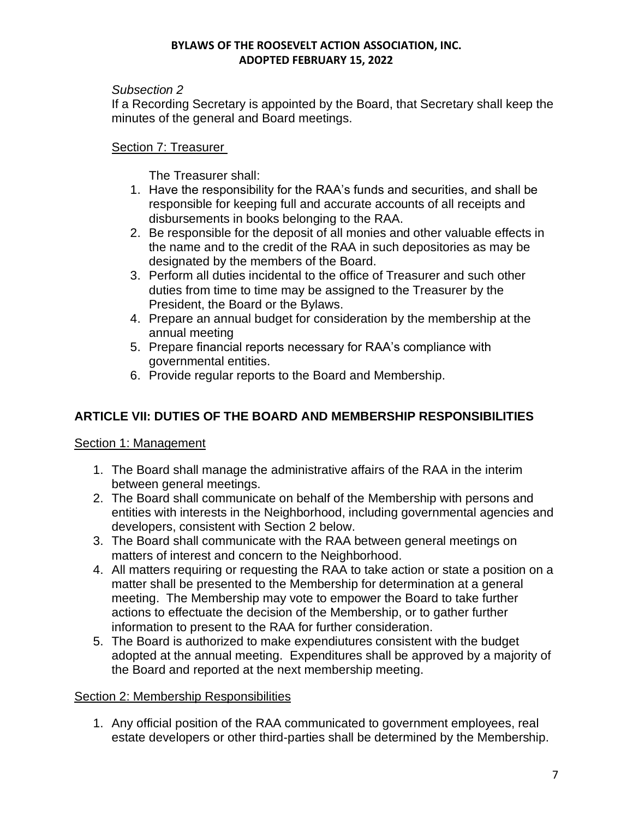## *Subsection 2*

If a Recording Secretary is appointed by the Board, that Secretary shall keep the minutes of the general and Board meetings.

# Section 7: Treasurer

The Treasurer shall:

- 1. Have the responsibility for the RAA's funds and securities, and shall be responsible for keeping full and accurate accounts of all receipts and disbursements in books belonging to the RAA.
- 2. Be responsible for the deposit of all monies and other valuable effects in the name and to the credit of the RAA in such depositories as may be designated by the members of the Board.
- 3. Perform all duties incidental to the office of Treasurer and such other duties from time to time may be assigned to the Treasurer by the President, the Board or the Bylaws.
- 4. Prepare an annual budget for consideration by the membership at the annual meeting
- 5. Prepare financial reports necessary for RAA's compliance with governmental entities.
- 6. Provide regular reports to the Board and Membership.

# **ARTICLE VII: DUTIES OF THE BOARD AND MEMBERSHIP RESPONSIBILITIES**

# Section 1: Management

- 1. The Board shall manage the administrative affairs of the RAA in the interim between general meetings.
- 2. The Board shall communicate on behalf of the Membership with persons and entities with interests in the Neighborhood, including governmental agencies and developers, consistent with Section 2 below.
- 3. The Board shall communicate with the RAA between general meetings on matters of interest and concern to the Neighborhood.
- 4. All matters requiring or requesting the RAA to take action or state a position on a matter shall be presented to the Membership for determination at a general meeting. The Membership may vote to empower the Board to take further actions to effectuate the decision of the Membership, or to gather further information to present to the RAA for further consideration.
- 5. The Board is authorized to make expendiutures consistent with the budget adopted at the annual meeting. Expenditures shall be approved by a majority of the Board and reported at the next membership meeting.

# Section 2: Membership Responsibilities

1. Any official position of the RAA communicated to government employees, real estate developers or other third-parties shall be determined by the Membership.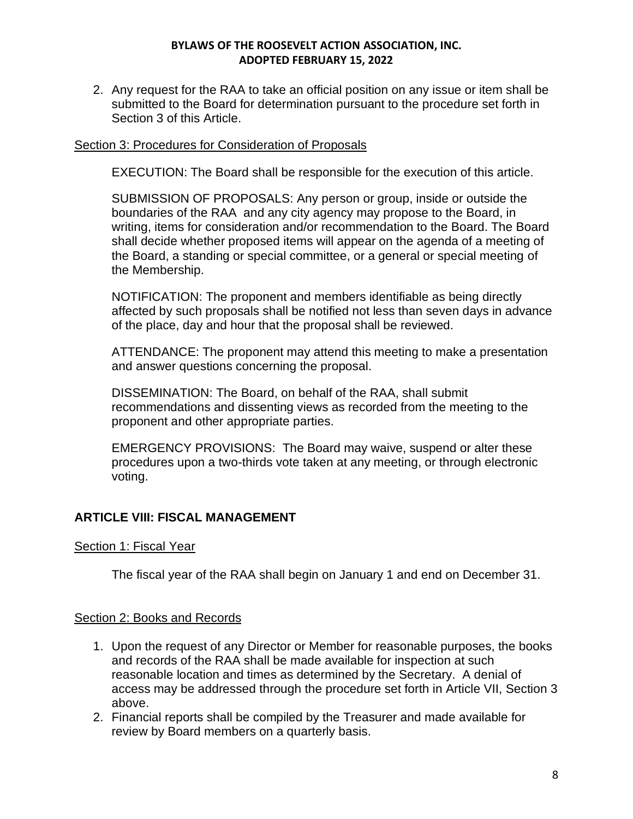2. Any request for the RAA to take an official position on any issue or item shall be submitted to the Board for determination pursuant to the procedure set forth in Section 3 of this Article.

### Section 3: Procedures for Consideration of Proposals

EXECUTION: The Board shall be responsible for the execution of this article.

SUBMISSION OF PROPOSALS: Any person or group, inside or outside the boundaries of the RAA and any city agency may propose to the Board, in writing, items for consideration and/or recommendation to the Board. The Board shall decide whether proposed items will appear on the agenda of a meeting of the Board, a standing or special committee, or a general or special meeting of the Membership.

NOTIFICATION: The proponent and members identifiable as being directly affected by such proposals shall be notified not less than seven days in advance of the place, day and hour that the proposal shall be reviewed.

ATTENDANCE: The proponent may attend this meeting to make a presentation and answer questions concerning the proposal.

DISSEMINATION: The Board, on behalf of the RAA, shall submit recommendations and dissenting views as recorded from the meeting to the proponent and other appropriate parties.

EMERGENCY PROVISIONS: The Board may waive, suspend or alter these procedures upon a two-thirds vote taken at any meeting, or through electronic voting.

# **ARTICLE VIII: FISCAL MANAGEMENT**

### Section 1: Fiscal Year

The fiscal year of the RAA shall begin on January 1 and end on December 31.

### Section 2: Books and Records

- 1. Upon the request of any Director or Member for reasonable purposes, the books and records of the RAA shall be made available for inspection at such reasonable location and times as determined by the Secretary. A denial of access may be addressed through the procedure set forth in Article VII, Section 3 above.
- 2. Financial reports shall be compiled by the Treasurer and made available for review by Board members on a quarterly basis.